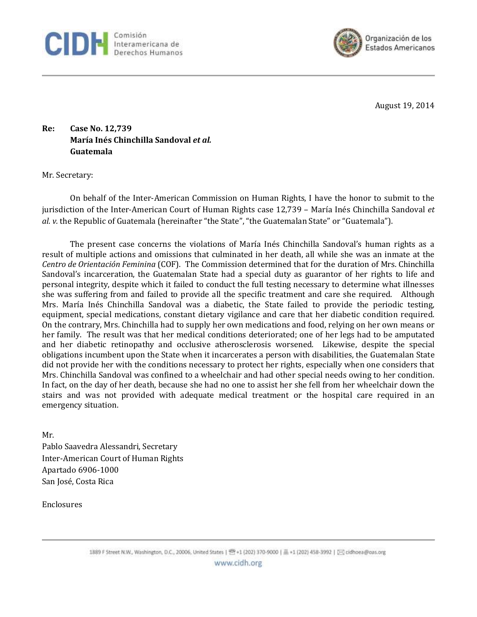



August 19, 2014

**Re: Case No. 12,739 María Inés Chinchilla Sandoval** *et al.* **Guatemala** 

Mr. Secretary:

On behalf of the Inter-American Commission on Human Rights, I have the honor to submit to the jurisdiction of the Inter-American Court of Human Rights case 12,739 – María Inés Chinchilla Sandoval *et al. v.* the Republic of Guatemala (hereinafter "the State", "the Guatemalan State" or "Guatemala").

The present case concerns the violations of María Inés Chinchilla Sandoval's human rights as a result of multiple actions and omissions that culminated in her death, all while she was an inmate at the *Centro de Orientación Feminina* (COF). The Commission determined that for the duration of Mrs. Chinchilla Sandoval's incarceration, the Guatemalan State had a special duty as guarantor of her rights to life and personal integrity, despite which it failed to conduct the full testing necessary to determine what illnesses she was suffering from and failed to provide all the specific treatment and care she required. Although Mrs. María Inés Chinchilla Sandoval was a diabetic, the State failed to provide the periodic testing, equipment, special medications, constant dietary vigilance and care that her diabetic condition required. On the contrary, Mrs. Chinchilla had to supply her own medications and food, relying on her own means or her family. The result was that her medical conditions deteriorated; one of her legs had to be amputated and her diabetic retinopathy and occlusive atherosclerosis worsened. Likewise, despite the special obligations incumbent upon the State when it incarcerates a person with disabilities, the Guatemalan State did not provide her with the conditions necessary to protect her rights, especially when one considers that Mrs. Chinchilla Sandoval was confined to a wheelchair and had other special needs owing to her condition. In fact, on the day of her death, because she had no one to assist her she fell from her wheelchair down the stairs and was not provided with adequate medical treatment or the hospital care required in an emergency situation.

Mr. Pablo Saavedra Alessandri, Secretary Inter-American Court of Human Rights Apartado 6906-1000 San José, Costa Rica

Enclosures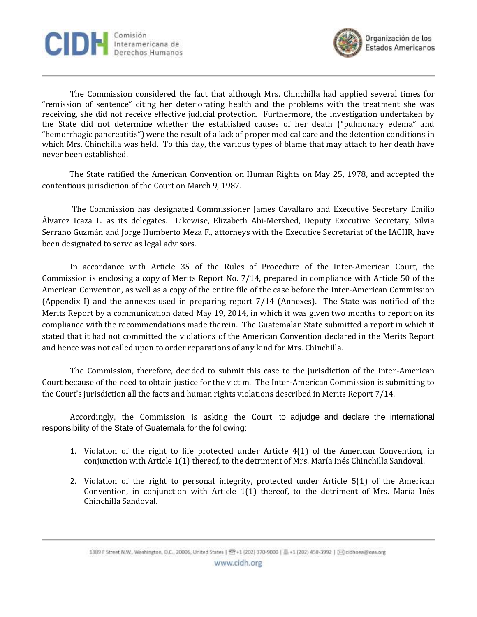



The Commission considered the fact that although Mrs. Chinchilla had applied several times for "remission of sentence" citing her deteriorating health and the problems with the treatment she was receiving, she did not receive effective judicial protection. Furthermore, the investigation undertaken by the State did not determine whether the established causes of her death ("pulmonary edema" and "hemorrhagic pancreatitis") were the result of a lack of proper medical care and the detention conditions in which Mrs. Chinchilla was held. To this day, the various types of blame that may attach to her death have never been established.

The State ratified the American Convention on Human Rights on May 25, 1978, and accepted the contentious jurisdiction of the Court on March 9, 1987.

The Commission has designated Commissioner James Cavallaro and Executive Secretary Emilio Álvarez Icaza L. as its delegates. Likewise, Elizabeth Abi-Mershed, Deputy Executive Secretary, Silvia Serrano Guzmán and Jorge Humberto Meza F., attorneys with the Executive Secretariat of the IACHR, have been designated to serve as legal advisors.

In accordance with Article 35 of the Rules of Procedure of the Inter-American Court, the Commission is enclosing a copy of Merits Report No. 7/14, prepared in compliance with Article 50 of the American Convention, as well as a copy of the entire file of the case before the Inter-American Commission (Appendix I) and the annexes used in preparing report 7/14 (Annexes). The State was notified of the Merits Report by a communication dated May 19, 2014, in which it was given two months to report on its compliance with the recommendations made therein. The Guatemalan State submitted a report in which it stated that it had not committed the violations of the American Convention declared in the Merits Report and hence was not called upon to order reparations of any kind for Mrs. Chinchilla.

The Commission, therefore, decided to submit this case to the jurisdiction of the Inter-American Court because of the need to obtain justice for the victim. The Inter-American Commission is submitting to the Court's jurisdiction all the facts and human rights violations described in Merits Report 7/14.

Accordingly, the Commission is asking the Court to adjudge and declare the international responsibility of the State of Guatemala for the following:

- 1. Violation of the right to life protected under Article 4(1) of the American Convention, in conjunction with Article 1(1) thereof, to the detriment of Mrs. María Inés Chinchilla Sandoval.
- 2. Violation of the right to personal integrity, protected under Article 5(1) of the American Convention, in conjunction with Article  $1(1)$  thereof, to the detriment of Mrs. María Inés Chinchilla Sandoval.

1889 F Street N.W., Washington, D.C., 20006, United States | 图 +1 (202) 370-9000 | 图 +1 (202) 458-3992 | [23] cidhoea@oas.org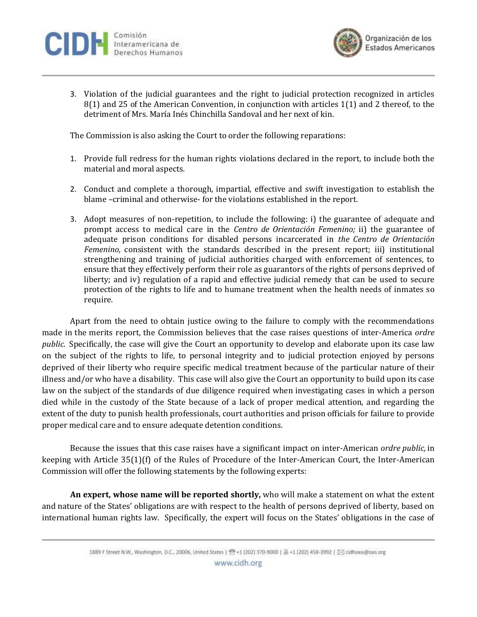



3. Violation of the judicial guarantees and the right to judicial protection recognized in articles 8(1) and 25 of the American Convention, in conjunction with articles 1(1) and 2 thereof, to the detriment of Mrs. María Inés Chinchilla Sandoval and her next of kin.

The Commission is also asking the Court to order the following reparations:

- 1. Provide full redress for the human rights violations declared in the report, to include both the material and moral aspects.
- 2. Conduct and complete a thorough, impartial, effective and swift investigation to establish the blame –criminal and otherwise- for the violations established in the report.
- 3. Adopt measures of non-repetition, to include the following: i) the guarantee of adequate and prompt access to medical care in the *Centro de Orientación Femenino;* ii) the guarantee of adequate prison conditions for disabled persons incarcerated in *the Centro de Orientación Femenino,* consistent with the standards described in the present report; iii) institutional strengthening and training of judicial authorities charged with enforcement of sentences, to ensure that they effectively perform their role as guarantors of the rights of persons deprived of liberty; and iv) regulation of a rapid and effective judicial remedy that can be used to secure protection of the rights to life and to humane treatment when the health needs of inmates so require.

Apart from the need to obtain justice owing to the failure to comply with the recommendations made in the merits report, the Commission believes that the case raises questions of inter-America *ordre public.* Specifically, the case will give the Court an opportunity to develop and elaborate upon its case law on the subject of the rights to life, to personal integrity and to judicial protection enjoyed by persons deprived of their liberty who require specific medical treatment because of the particular nature of their illness and/or who have a disability. This case will also give the Court an opportunity to build upon its case law on the subject of the standards of due diligence required when investigating cases in which a person died while in the custody of the State because of a lack of proper medical attention, and regarding the extent of the duty to punish health professionals, court authorities and prison officials for failure to provide proper medical care and to ensure adequate detention conditions.

Because the issues that this case raises have a significant impact on inter-American *ordre public,* in keeping with Article 35(1)(f) of the Rules of Procedure of the Inter-American Court, the Inter-American Commission will offer the following statements by the following experts:

**An expert, whose name will be reported shortly,** who will make a statement on what the extent and nature of the States' obligations are with respect to the health of persons deprived of liberty, based on international human rights law. Specifically, the expert will focus on the States' obligations in the case of